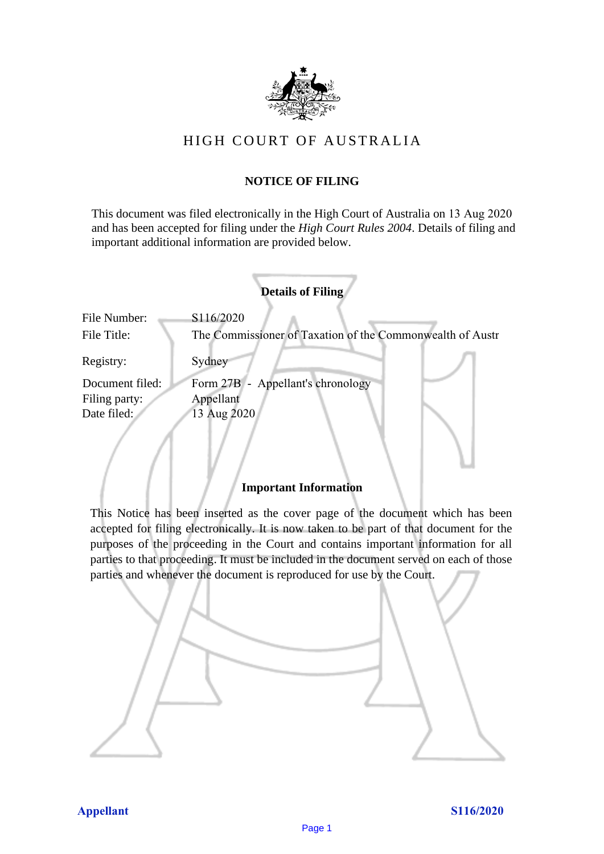

# HIGH COURT OF AU STRALIA HIGH COURT OF AUSTRALIA

## **NOTICE OF FILING** NOTICE OF FILING

This document was filed electronically in the High Court of Australia on 13 Aug 2020 This document was filed electronically in the High Court of Australia 20 and has been accepted for filing under the *High Court Rules 2004*. Details of filing and important additional information are provided below. important additional information are provided below.

|                 | <b>Details of Filing</b>                                  |
|-----------------|-----------------------------------------------------------|
| File Number:    | S116/2020                                                 |
| File Title:     | The Commissioner of Taxation of the Commonwealth of Austr |
| Registry:       | Sydney                                                    |
| Document filed: | Form 27B - Appellant's chronology                         |
| Filing party:   | Appellant                                                 |
| Date filed:     | 13 Aug 2020                                               |
|                 |                                                           |
|                 |                                                           |
|                 |                                                           |

#### **Important Information** Important Information

This Notice has been inserted as the cover page of the document which has been accepted for filing electronically. It is now taken to be part of that document for the purposes of the proceeding in the Court and contains important information for all parties to that proceeding. It must be included in the document served on each of those parties and whenever the document is reproduced for use by the Court. parties and whenever the document is reproduced for use by the Court

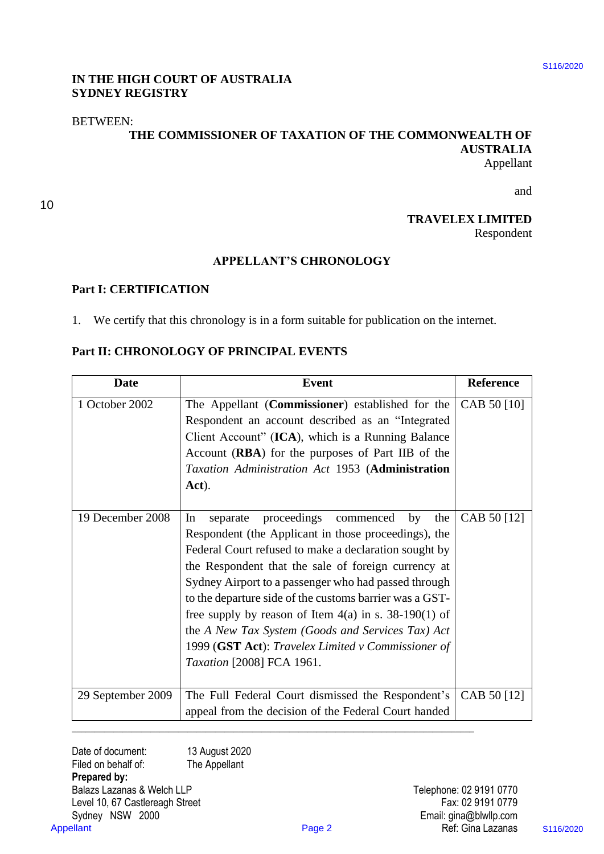### **IN THE HIGH COURT OF AUSTRALIA**  IN THE HIGH COURT OF AUSTRALIA **SYDNEY REGISTRY** SYDNEY REGISTRY

### BETWEEN: BETWEEN:

10 10

#### **THE COMMISSIONER OF TAXATION OF THE COMMONWEALTH OF**  THE COMMISSIONER OF TAXATION OF THE COMMONWEALTH OF **AUSTRALIA** AUSTRALIA Appellant Appellant

# **TRAVELEX LIMITED** TRAVELEX LIMITED

#### **APPELLANT'S CHRONOLOGY** APPELLANT'S CHRONOLOGY

#### **Part I: CERTIFICATION** Part I: CERTIFICATION

## **Part II: CHRONOLOGY OF PRINCIPAL EVENTS** Part Il: CHRONOLOGY OF PRINCIPAL EVENTS

| <b>SYDNEY REGISTRY</b>                                                                 | IN THE HIGH COURT OF AUSTRALIA                                                                                                                                                                                                                                                                                                                                                                                                                                                                                                            |                                             |           |
|----------------------------------------------------------------------------------------|-------------------------------------------------------------------------------------------------------------------------------------------------------------------------------------------------------------------------------------------------------------------------------------------------------------------------------------------------------------------------------------------------------------------------------------------------------------------------------------------------------------------------------------------|---------------------------------------------|-----------|
| <b>BETWEEN:</b>                                                                        | THE COMMISSIONER OF TAXATION OF THE COMMONWEALTH OF                                                                                                                                                                                                                                                                                                                                                                                                                                                                                       | <b>AUSTRALIA</b><br>Appellant               |           |
|                                                                                        |                                                                                                                                                                                                                                                                                                                                                                                                                                                                                                                                           | and                                         |           |
|                                                                                        |                                                                                                                                                                                                                                                                                                                                                                                                                                                                                                                                           |                                             |           |
|                                                                                        |                                                                                                                                                                                                                                                                                                                                                                                                                                                                                                                                           | <b>TRAVELEX LIMITED</b><br>Respondent       |           |
|                                                                                        | <b>APPELLANT'S CHRONOLOGY</b>                                                                                                                                                                                                                                                                                                                                                                                                                                                                                                             |                                             |           |
| <b>Part I: CERTIFICATION</b>                                                           |                                                                                                                                                                                                                                                                                                                                                                                                                                                                                                                                           |                                             |           |
| 1.                                                                                     | We certify that this chronology is in a form suitable for publication on the internet.                                                                                                                                                                                                                                                                                                                                                                                                                                                    |                                             |           |
|                                                                                        |                                                                                                                                                                                                                                                                                                                                                                                                                                                                                                                                           |                                             |           |
|                                                                                        | Part II: CHRONOLOGY OF PRINCIPAL EVENTS                                                                                                                                                                                                                                                                                                                                                                                                                                                                                                   |                                             |           |
| <b>Date</b>                                                                            | Event                                                                                                                                                                                                                                                                                                                                                                                                                                                                                                                                     | <b>Reference</b>                            |           |
| 1 October 2002                                                                         | The Appellant (Commissioner) established for the<br>Respondent an account described as an "Integrated<br>Client Account" (ICA), which is a Running Balance<br>Account (RBA) for the purposes of Part IIB of the<br>Taxation Administration Act 1953 (Administration<br>Act).                                                                                                                                                                                                                                                              | CAB 50 [10]                                 |           |
| 19 December 2008                                                                       | In<br>separate proceedings commenced by the<br>Respondent (the Applicant in those proceedings), the<br>Federal Court refused to make a declaration sought by<br>the Respondent that the sale of foreign currency at<br>Sydney Airport to a passenger who had passed through<br>to the departure side of the customs barrier was a GST-<br>free supply by reason of Item $4(a)$ in s. 38-190(1) of<br>the A New Tax System (Goods and Services Tax) Act<br>1999 (GST Act): Travelex Limited v Commissioner of<br>Taxation [2008] FCA 1961. | CAB 50 [12]                                 |           |
| 29 September 2009                                                                      | The Full Federal Court dismissed the Respondent's<br>appeal from the decision of the Federal Court handed                                                                                                                                                                                                                                                                                                                                                                                                                                 | CAB 50 [12]                                 |           |
| Date of document:<br>Filed on behalf of:<br>Prepared by:<br>Balazs Lazanas & Welch LLP | 13 August 2020<br>The Appellant                                                                                                                                                                                                                                                                                                                                                                                                                                                                                                           | Telephone: 02 9191 0770                     |           |
| Level 10, 67 Castlereagh Street<br>Sydney NSW 2000                                     |                                                                                                                                                                                                                                                                                                                                                                                                                                                                                                                                           | Fax: 02 9191 0779<br>Email: gina@blwllp.com |           |
| <b>Appellant</b>                                                                       | Page 2                                                                                                                                                                                                                                                                                                                                                                                                                                                                                                                                    | Ref: Gina Lazanas                           | S116/2020 |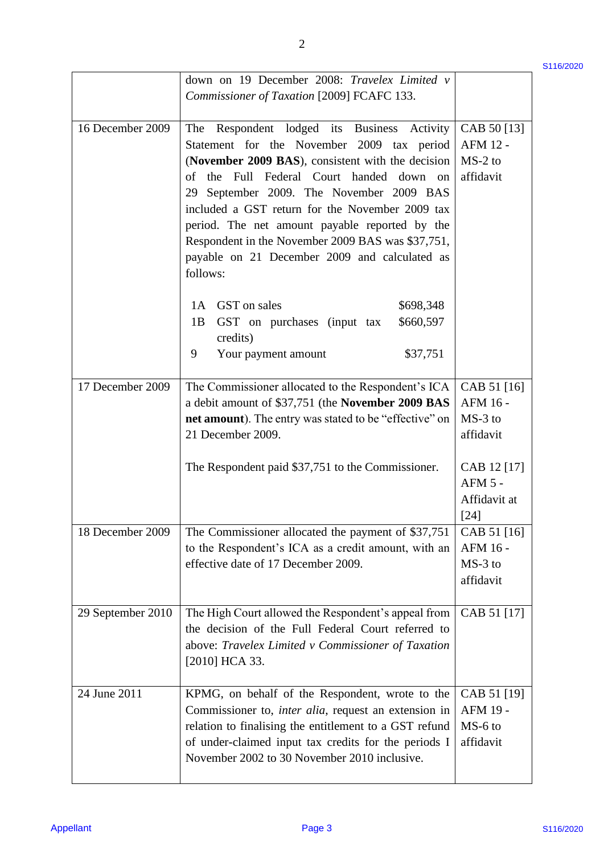|                   | down on 19 December 2008: Travelex Limited v                                                                                                                                                                                                                                                                                                                                                                                                                        |                                                   | S <sub>116</sub> /2020 |
|-------------------|---------------------------------------------------------------------------------------------------------------------------------------------------------------------------------------------------------------------------------------------------------------------------------------------------------------------------------------------------------------------------------------------------------------------------------------------------------------------|---------------------------------------------------|------------------------|
|                   | Commissioner of Taxation [2009] FCAFC 133.                                                                                                                                                                                                                                                                                                                                                                                                                          |                                                   |                        |
| 16 December 2009  | Respondent lodged its Business Activity<br>The<br>Statement for the November 2009 tax period<br>(November 2009 BAS), consistent with the decision<br>the Full Federal Court handed down on<br>of<br>29 September 2009. The November 2009 BAS<br>included a GST return for the November 2009 tax<br>period. The net amount payable reported by the<br>Respondent in the November 2009 BAS was \$37,751,<br>payable on 21 December 2009 and calculated as<br>follows: | CAB 50 [13]<br>AFM 12 -<br>$MS-2$ to<br>affidavit |                        |
|                   | GST on sales<br>\$698,348<br>1A<br>\$660,597<br>GST on purchases (input tax<br>1B<br>credits)<br>\$37,751<br>9<br>Your payment amount                                                                                                                                                                                                                                                                                                                               |                                                   |                        |
| 17 December 2009  | The Commissioner allocated to the Respondent's ICA<br>a debit amount of \$37,751 (the November 2009 BAS<br>net amount). The entry was stated to be "effective" on<br>21 December 2009.                                                                                                                                                                                                                                                                              | CAB 51 [16]<br>AFM 16 -<br>$MS-3$ to<br>affidavit |                        |
|                   | The Respondent paid \$37,751 to the Commissioner.                                                                                                                                                                                                                                                                                                                                                                                                                   | CAB 12 [17]<br>AFM 5 -<br>Affidavit at<br>$[24]$  |                        |
| 18 December 2009  | The Commissioner allocated the payment of \$37,751<br>to the Respondent's ICA as a credit amount, with an<br>effective date of 17 December 2009.                                                                                                                                                                                                                                                                                                                    | CAB 51 [16]<br>AFM 16 -<br>$MS-3$ to<br>affidavit |                        |
| 29 September 2010 | The High Court allowed the Respondent's appeal from<br>the decision of the Full Federal Court referred to<br>above: Travelex Limited v Commissioner of Taxation<br>$[2010]$ HCA 33.                                                                                                                                                                                                                                                                                 | CAB 51 [17]                                       |                        |
| 24 June 2011      | KPMG, on behalf of the Respondent, wrote to the<br>Commissioner to, <i>inter alia</i> , request an extension in<br>relation to finalising the entitlement to a GST refund<br>of under-claimed input tax credits for the periods I                                                                                                                                                                                                                                   | CAB 51 [19]<br>AFM 19 -<br>MS-6 to<br>affidavit   |                        |

\$116/2020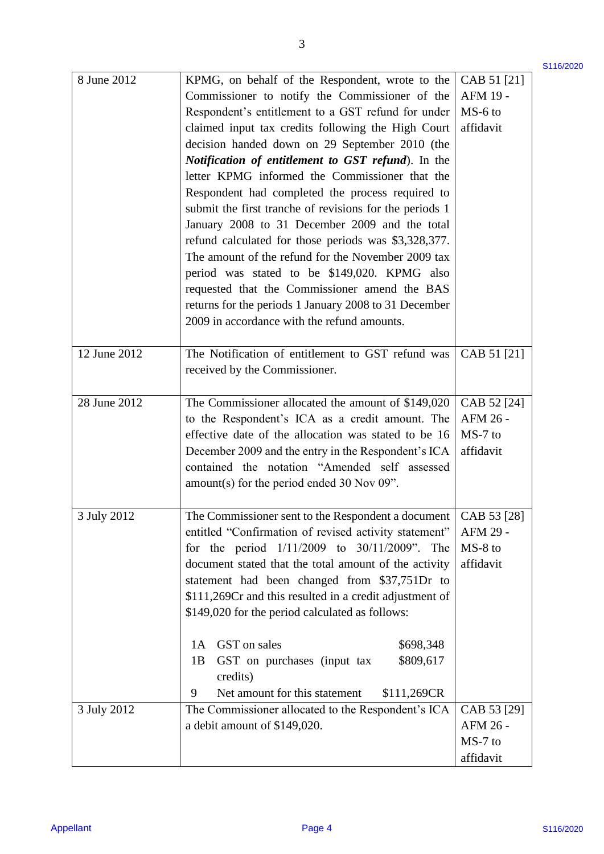\$116/2020

| 8 June 2012      | KPMG, on behalf of the Respondent, wrote to the                                                            | CAB 51 [21] | S <sub>116</sub> /2020 |
|------------------|------------------------------------------------------------------------------------------------------------|-------------|------------------------|
|                  | Commissioner to notify the Commissioner of the                                                             | AFM 19 -    |                        |
|                  | Respondent's entitlement to a GST refund for under                                                         | MS-6 to     |                        |
|                  | claimed input tax credits following the High Court                                                         | affidavit   |                        |
|                  | decision handed down on 29 September 2010 (the                                                             |             |                        |
|                  |                                                                                                            |             |                        |
|                  | Notification of entitlement to GST refund). In the<br>letter KPMG informed the Commissioner that the       |             |                        |
|                  |                                                                                                            |             |                        |
|                  | Respondent had completed the process required to                                                           |             |                        |
|                  | submit the first tranche of revisions for the periods 1                                                    |             |                        |
|                  | January 2008 to 31 December 2009 and the total                                                             |             |                        |
|                  | refund calculated for those periods was \$3,328,377.<br>The amount of the refund for the November 2009 tax |             |                        |
|                  |                                                                                                            |             |                        |
|                  | period was stated to be \$149,020. KPMG also                                                               |             |                        |
|                  | requested that the Commissioner amend the BAS                                                              |             |                        |
|                  | returns for the periods 1 January 2008 to 31 December                                                      |             |                        |
|                  | 2009 in accordance with the refund amounts.                                                                |             |                        |
| 12 June 2012     | The Notification of entitlement to GST refund was                                                          | CAB 51 [21] |                        |
|                  | received by the Commissioner.                                                                              |             |                        |
| 28 June 2012     | The Commissioner allocated the amount of \$149,020                                                         | CAB 52 [24] |                        |
|                  | to the Respondent's ICA as a credit amount. The                                                            | AFM 26 -    |                        |
|                  | effective date of the allocation was stated to be 16                                                       | MS-7 to     |                        |
|                  | December 2009 and the entry in the Respondent's ICA                                                        | affidavit   |                        |
|                  | contained the notation "Amended self assessed                                                              |             |                        |
|                  | amount(s) for the period ended 30 Nov 09".                                                                 |             |                        |
| 3 July 2012      | The Commissioner sent to the Respondent a document   CAB 53 [28]                                           |             |                        |
|                  | entitled "Confirmation of revised activity statement"                                                      | AFM 29 -    |                        |
|                  | for the period $1/11/2009$ to $30/11/2009$ ". The                                                          | MS-8 to     |                        |
|                  | document stated that the total amount of the activity                                                      | affidavit   |                        |
|                  | statement had been changed from \$37,751Dr to                                                              |             |                        |
|                  | \$111,269Cr and this resulted in a credit adjustment of                                                    |             |                        |
|                  | \$149,020 for the period calculated as follows:                                                            |             |                        |
|                  | GST on sales<br>\$698,348<br>1A                                                                            |             |                        |
|                  | \$809,617<br>GST on purchases (input tax<br>1B                                                             |             |                        |
|                  | credits)                                                                                                   |             |                        |
|                  | Net amount for this statement<br>\$111,269CR<br>9                                                          |             |                        |
| 3 July 2012      | The Commissioner allocated to the Respondent's ICA                                                         | CAB 53 [29] |                        |
|                  | a debit amount of \$149,020.                                                                               | AFM 26 -    |                        |
|                  |                                                                                                            | MS-7 to     |                        |
|                  |                                                                                                            | affidavit   |                        |
|                  |                                                                                                            |             |                        |
|                  |                                                                                                            |             |                        |
|                  |                                                                                                            |             |                        |
| <b>Appellant</b> | Page 4                                                                                                     |             | S116/2020              |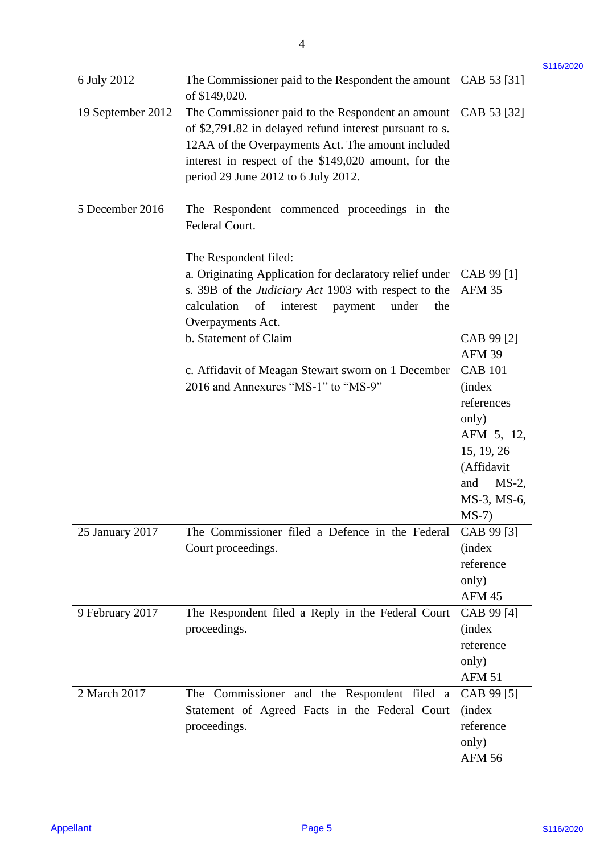| 6 July 2012       | The Commissioner paid to the Respondent the amount<br>of \$149,020.                                                                                                                                                                                              | CAB 53 [31]                                                                         |
|-------------------|------------------------------------------------------------------------------------------------------------------------------------------------------------------------------------------------------------------------------------------------------------------|-------------------------------------------------------------------------------------|
| 19 September 2012 | The Commissioner paid to the Respondent an amount<br>of \$2,791.82 in delayed refund interest pursuant to s.<br>12AA of the Overpayments Act. The amount included<br>interest in respect of the \$149,020 amount, for the<br>period 29 June 2012 to 6 July 2012. | CAB 53 [32]                                                                         |
| 5 December 2016   | The Respondent commenced proceedings in the<br>Federal Court.                                                                                                                                                                                                    |                                                                                     |
|                   | The Respondent filed:<br>a. Originating Application for declaratory relief under<br>s. 39B of the Judiciary Act 1903 with respect to the<br>calculation<br>of<br>interest<br>under<br>payment<br>the<br>Overpayments Act.                                        | CAB 99 [1]<br><b>AFM 35</b>                                                         |
|                   | b. Statement of Claim                                                                                                                                                                                                                                            | CAB 99 [2]<br><b>AFM 39</b>                                                         |
|                   | c. Affidavit of Meagan Stewart sworn on 1 December<br>2016 and Annexures "MS-1" to "MS-9"                                                                                                                                                                        | <b>CAB 101</b><br><i>(index)</i><br>references<br>only)<br>AFM 5, 12,<br>15, 19, 26 |
|                   |                                                                                                                                                                                                                                                                  | (Affidavit<br>$MS-2$ ,<br>and<br>MS-3, MS-6,<br>$MS-7)$                             |
| 25 January 2017   | The Commissioner filed a Defence in the Federal<br>Court proceedings.                                                                                                                                                                                            | CAB 99 [3]<br><i>(index)</i><br>reference<br>only)<br><b>AFM 45</b>                 |
| 9 February 2017   | The Respondent filed a Reply in the Federal Court<br>proceedings.                                                                                                                                                                                                | CAB 99 [4]<br><i>(index)</i><br>reference<br>only)<br><b>AFM 51</b>                 |
| 2 March 2017      | The Commissioner and the Respondent filed a<br>Statement of Agreed Facts in the Federal Court<br>proceedings.                                                                                                                                                    | CAB 99 [5]<br><i>(index)</i><br>reference<br>only)<br><b>AFM 56</b>                 |